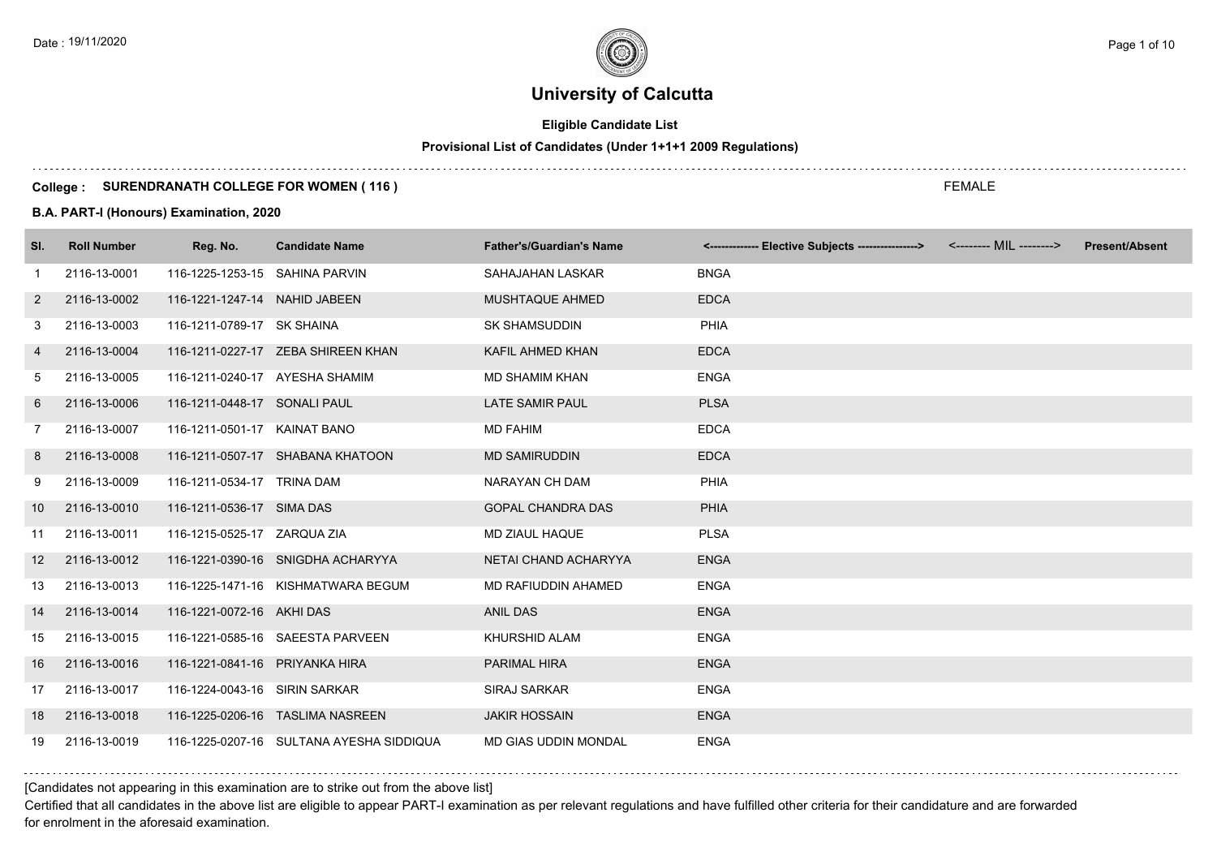## **Eligible Candidate List**

## **Provisional List of Candidates (Under 1+1+1 2009 Regulations)**

#### **College : SURENDRANATH COLLEGE FOR WOMEN ( 116 )**

#### **B.A. PART-I (Honours) Examination, 2020**

| SI.               | <b>Roll Number</b> | Reg. No.                       | <b>Candidate Name</b>                    | <b>Father's/Guardian's Name</b> | <------------- Elective Subjects ----------------> <-------- MIL --------> | <b>Present/Absent</b> |
|-------------------|--------------------|--------------------------------|------------------------------------------|---------------------------------|----------------------------------------------------------------------------|-----------------------|
| $\mathbf{1}$      | 2116-13-0001       | 116-1225-1253-15 SAHINA PARVIN |                                          | SAHAJAHAN LASKAR                | <b>BNGA</b>                                                                |                       |
| 2                 | 2116-13-0002       | 116-1221-1247-14 NAHID JABEEN  |                                          | MUSHTAQUE AHMED                 | <b>EDCA</b>                                                                |                       |
| 3                 | 2116-13-0003       | 116-1211-0789-17 SK SHAINA     |                                          | <b>SK SHAMSUDDIN</b>            | <b>PHIA</b>                                                                |                       |
| 4                 | 2116-13-0004       |                                | 116-1211-0227-17 ZEBA SHIREEN KHAN       | KAFIL AHMED KHAN                | <b>EDCA</b>                                                                |                       |
| 5                 | 2116-13-0005       | 116-1211-0240-17 AYESHA SHAMIM |                                          | <b>MD SHAMIM KHAN</b>           | <b>ENGA</b>                                                                |                       |
| 6                 | 2116-13-0006       | 116-1211-0448-17 SONALI PAUL   |                                          | <b>LATE SAMIR PAUL</b>          | <b>PLSA</b>                                                                |                       |
| $\overline{7}$    | 2116-13-0007       | 116-1211-0501-17 KAINAT BANO   |                                          | <b>MD FAHIM</b>                 | <b>EDCA</b>                                                                |                       |
| 8                 | 2116-13-0008       |                                | 116-1211-0507-17 SHABANA KHATOON         | <b>MD SAMIRUDDIN</b>            | <b>EDCA</b>                                                                |                       |
| 9                 | 2116-13-0009       | 116-1211-0534-17 TRINA DAM     |                                          | NARAYAN CH DAM                  | <b>PHIA</b>                                                                |                       |
| 10                | 2116-13-0010       | 116-1211-0536-17 SIMA DAS      |                                          | <b>GOPAL CHANDRA DAS</b>        | <b>PHIA</b>                                                                |                       |
| 11                | 2116-13-0011       | 116-1215-0525-17 ZARQUA ZIA    |                                          | MD ZIAUL HAQUE                  | <b>PLSA</b>                                                                |                       |
| $12 \overline{ }$ | 2116-13-0012       |                                | 116-1221-0390-16 SNIGDHA ACHARYYA        | NETAI CHAND ACHARYYA            | <b>ENGA</b>                                                                |                       |
| 13                | 2116-13-0013       |                                | 116-1225-1471-16 KISHMATWARA BEGUM       | MD RAFIUDDIN AHAMED             | <b>ENGA</b>                                                                |                       |
| 14                | 2116-13-0014       | 116-1221-0072-16 AKHI DAS      |                                          | <b>ANIL DAS</b>                 | <b>ENGA</b>                                                                |                       |
| 15                | 2116-13-0015       |                                | 116-1221-0585-16 SAEESTA PARVEEN         | KHURSHID ALAM                   | <b>ENGA</b>                                                                |                       |
| 16                | 2116-13-0016       | 116-1221-0841-16 PRIYANKA HIRA |                                          | <b>PARIMAL HIRA</b>             | <b>ENGA</b>                                                                |                       |
| 17                | 2116-13-0017       | 116-1224-0043-16 SIRIN SARKAR  |                                          | <b>SIRAJ SARKAR</b>             | <b>ENGA</b>                                                                |                       |
| 18                | 2116-13-0018       |                                | 116-1225-0206-16 TASLIMA NASREEN         | <b>JAKIR HOSSAIN</b>            | <b>ENGA</b>                                                                |                       |
| 19                | 2116-13-0019       |                                | 116-1225-0207-16 SULTANA AYESHA SIDDIQUA | <b>MD GIAS UDDIN MONDAL</b>     | <b>ENGA</b>                                                                |                       |

[Candidates not appearing in this examination are to strike out from the above list]

Certified that all candidates in the above list are eligible to appear PART-I examination as per relevant regulations and have fulfilled other criteria for their candidature and are forwarded for enrolment in the aforesaid examination.

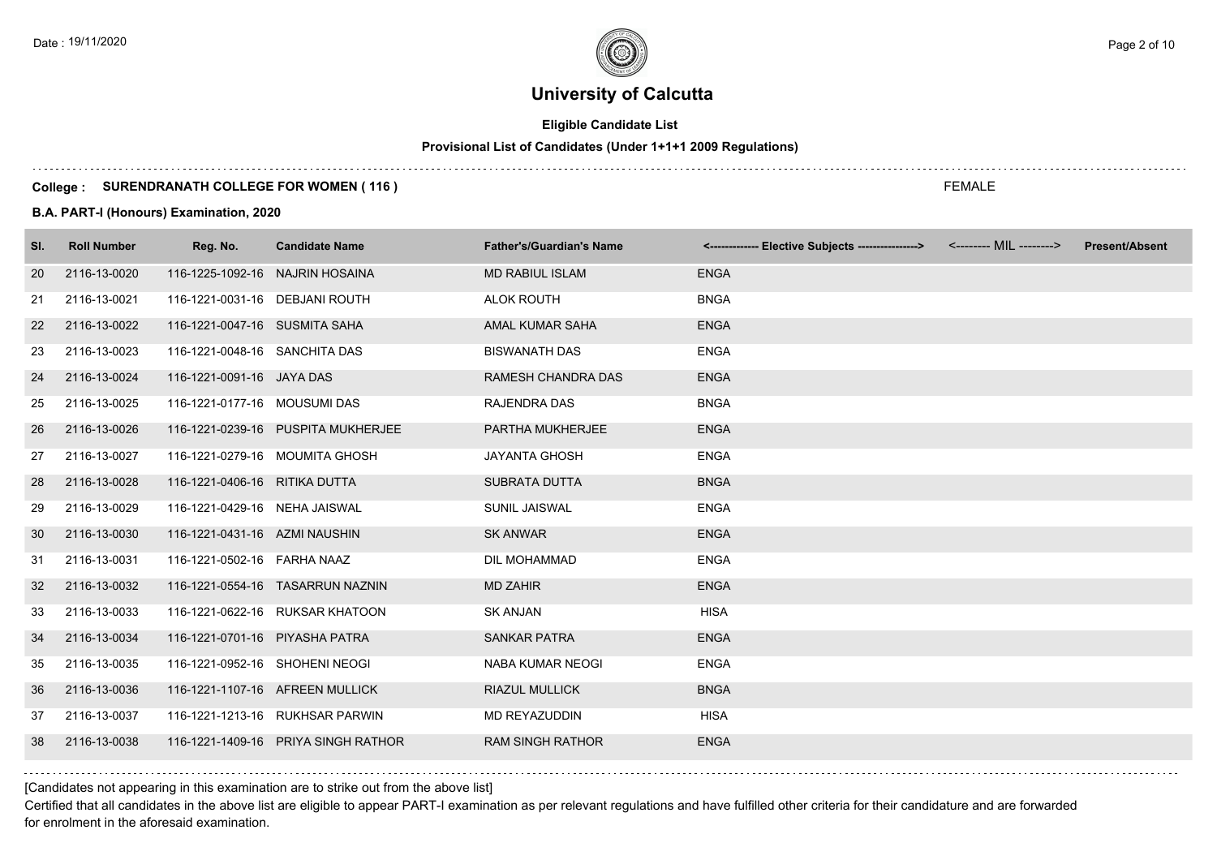## **Eligible Candidate List**

## **Provisional List of Candidates (Under 1+1+1 2009 Regulations)**

#### **College : SURENDRANATH COLLEGE FOR WOMEN ( 116 )**

#### **B.A. PART-I (Honours) Examination, 2020**

| SI. | <b>Roll Number</b> | Reg. No.                        | <b>Candidate Name</b>               | <b>Father's/Guardian's Name</b> | <------------- Elective Subjects ----------------> <-------- MIL --------> | <b>Present/Absent</b> |
|-----|--------------------|---------------------------------|-------------------------------------|---------------------------------|----------------------------------------------------------------------------|-----------------------|
| 20  | 2116-13-0020       | 116-1225-1092-16 NAJRIN HOSAINA |                                     | <b>MD RABIUL ISLAM</b>          | <b>ENGA</b>                                                                |                       |
| 21  | 2116-13-0021       | 116-1221-0031-16 DEBJANI ROUTH  |                                     | <b>ALOK ROUTH</b>               | <b>BNGA</b>                                                                |                       |
| 22  | 2116-13-0022       | 116-1221-0047-16 SUSMITA SAHA   |                                     | AMAL KUMAR SAHA                 | <b>ENGA</b>                                                                |                       |
| 23  | 2116-13-0023       | 116-1221-0048-16 SANCHITA DAS   |                                     | <b>BISWANATH DAS</b>            | <b>ENGA</b>                                                                |                       |
| 24  | 2116-13-0024       | 116-1221-0091-16 JAYA DAS       |                                     | RAMESH CHANDRA DAS              | <b>ENGA</b>                                                                |                       |
| 25  | 2116-13-0025       | 116-1221-0177-16 MOUSUMI DAS    |                                     | <b>RAJENDRA DAS</b>             | <b>BNGA</b>                                                                |                       |
| 26  | 2116-13-0026       |                                 | 116-1221-0239-16 PUSPITA MUKHERJEE  | PARTHA MUKHERJEE                | <b>ENGA</b>                                                                |                       |
| 27  | 2116-13-0027       |                                 | 116-1221-0279-16 MOUMITA GHOSH      | <b>JAYANTA GHOSH</b>            | <b>ENGA</b>                                                                |                       |
| 28  | 2116-13-0028       | 116-1221-0406-16 RITIKA DUTTA   |                                     | <b>SUBRATA DUTTA</b>            | <b>BNGA</b>                                                                |                       |
| 29  | 2116-13-0029       | 116-1221-0429-16 NEHA JAISWAL   |                                     | SUNIL JAISWAL                   | <b>ENGA</b>                                                                |                       |
| 30  | 2116-13-0030       | 116-1221-0431-16 AZMI NAUSHIN   |                                     | <b>SK ANWAR</b>                 | <b>ENGA</b>                                                                |                       |
| 31  | 2116-13-0031       | 116-1221-0502-16 FARHA NAAZ     |                                     | DIL MOHAMMAD                    | <b>ENGA</b>                                                                |                       |
| 32  | 2116-13-0032       |                                 | 116-1221-0554-16 TASARRUN NAZNIN    | <b>MD ZAHIR</b>                 | <b>ENGA</b>                                                                |                       |
| 33  | 2116-13-0033       |                                 | 116-1221-0622-16 RUKSAR KHATOON     | <b>SK ANJAN</b>                 | <b>HISA</b>                                                                |                       |
| 34  | 2116-13-0034       | 116-1221-0701-16 PIYASHA PATRA  |                                     | <b>SANKAR PATRA</b>             | <b>ENGA</b>                                                                |                       |
| 35  | 2116-13-0035       | 116-1221-0952-16 SHOHENI NEOGI  |                                     | <b>NABA KUMAR NEOGI</b>         | <b>ENGA</b>                                                                |                       |
| 36  | 2116-13-0036       |                                 | 116-1221-1107-16 AFREEN MULLICK     | <b>RIAZUL MULLICK</b>           | <b>BNGA</b>                                                                |                       |
| 37  | 2116-13-0037       |                                 | 116-1221-1213-16 RUKHSAR PARWIN     | MD REYAZUDDIN                   | <b>HISA</b>                                                                |                       |
| 38  | 2116-13-0038       |                                 | 116-1221-1409-16 PRIYA SINGH RATHOR | <b>RAM SINGH RATHOR</b>         | <b>ENGA</b>                                                                |                       |

[Candidates not appearing in this examination are to strike out from the above list]

Certified that all candidates in the above list are eligible to appear PART-I examination as per relevant regulations and have fulfilled other criteria for their candidature and are forwarded for enrolment in the aforesaid examination.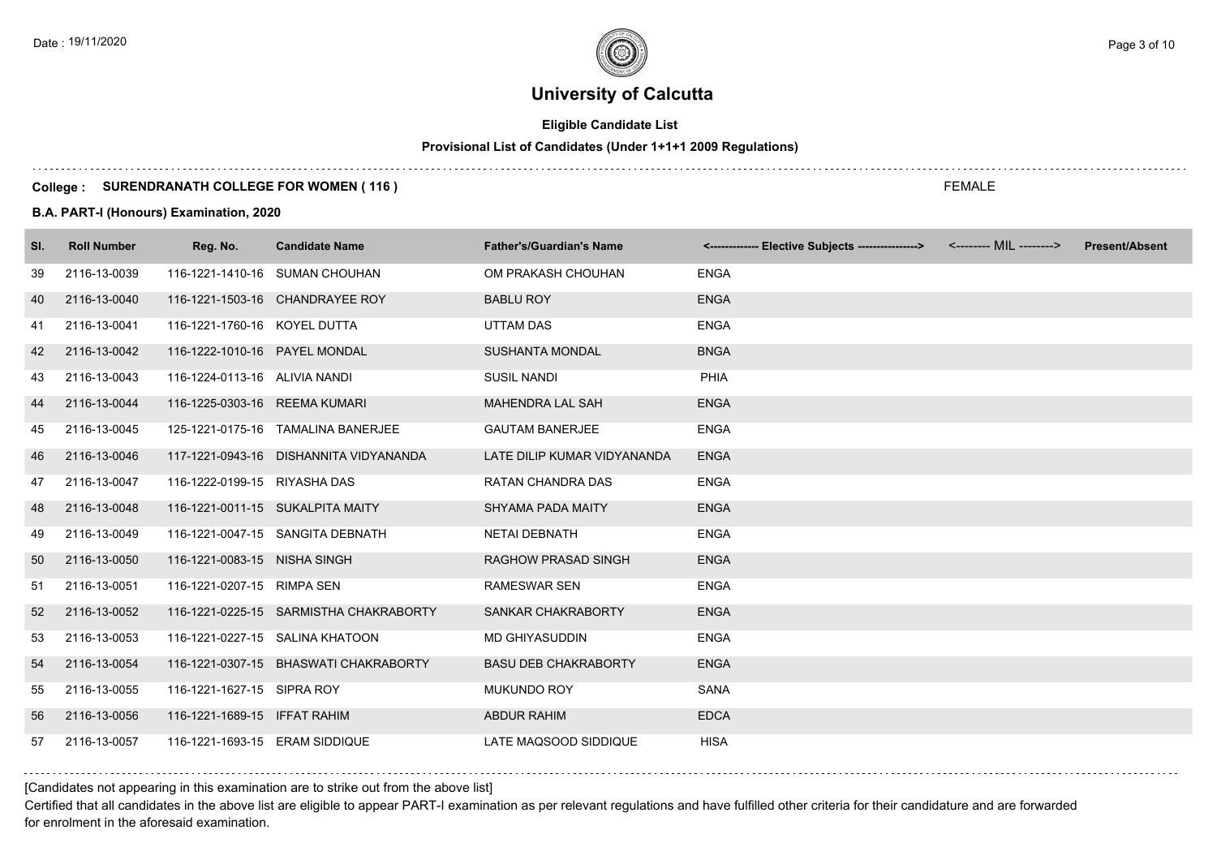## **Eligible Candidate List**

## **Provisional List of Candidates (Under 1+1+1 2009 Regulations)**

#### **College : SURENDRANATH COLLEGE FOR WOMEN ( 116 )**

#### **B.A. PART-I (Honours) Examination, 2020**

| SI. | <b>Roll Number</b> | Reg. No.                       | <b>Candidate Name</b>                  | <b>Father's/Guardian's Name</b> | <------------- Elective Subjects ----------------> | <-------- MIL --------> | <b>Present/Absent</b> |
|-----|--------------------|--------------------------------|----------------------------------------|---------------------------------|----------------------------------------------------|-------------------------|-----------------------|
| 39  | 2116-13-0039       |                                | 116-1221-1410-16 SUMAN CHOUHAN         | OM PRAKASH CHOUHAN              | <b>ENGA</b>                                        |                         |                       |
| 40  | 2116-13-0040       |                                | 116-1221-1503-16 CHANDRAYEE ROY        | <b>BABLU ROY</b>                | <b>ENGA</b>                                        |                         |                       |
| 41  | 2116-13-0041       | 116-1221-1760-16 KOYEL DUTTA   |                                        | UTTAM DAS                       | <b>ENGA</b>                                        |                         |                       |
| 42  | 2116-13-0042       | 116-1222-1010-16 PAYEL MONDAL  |                                        | <b>SUSHANTA MONDAL</b>          | <b>BNGA</b>                                        |                         |                       |
| 43  | 2116-13-0043       | 116-1224-0113-16 ALIVIA NANDI  |                                        | <b>SUSIL NANDI</b>              | PHIA                                               |                         |                       |
| 44  | 2116-13-0044       | 116-1225-0303-16 REEMA KUMARI  |                                        | <b>MAHENDRA LAL SAH</b>         | <b>ENGA</b>                                        |                         |                       |
| 45  | 2116-13-0045       |                                | 125-1221-0175-16 TAMALINA BANERJEE     | <b>GAUTAM BANERJEE</b>          | <b>ENGA</b>                                        |                         |                       |
| 46  | 2116-13-0046       |                                | 117-1221-0943-16 DISHANNITA VIDYANANDA | LATE DILIP KUMAR VIDYANANDA     | <b>ENGA</b>                                        |                         |                       |
| 47  | 2116-13-0047       | 116-1222-0199-15 RIYASHA DAS   |                                        | RATAN CHANDRA DAS               | <b>ENGA</b>                                        |                         |                       |
| 48  | 2116-13-0048       |                                | 116-1221-0011-15 SUKALPITA MAITY       | <b>SHYAMA PADA MAITY</b>        | <b>ENGA</b>                                        |                         |                       |
| 49  | 2116-13-0049       |                                | 116-1221-0047-15 SANGITA DEBNATH       | <b>NETAI DEBNATH</b>            | <b>ENGA</b>                                        |                         |                       |
| 50  | 2116-13-0050       | 116-1221-0083-15 NISHA SINGH   |                                        | <b>RAGHOW PRASAD SINGH</b>      | <b>ENGA</b>                                        |                         |                       |
| 51  | 2116-13-0051       | 116-1221-0207-15 RIMPA SEN     |                                        | <b>RAMESWAR SEN</b>             | <b>ENGA</b>                                        |                         |                       |
| 52  | 2116-13-0052       |                                | 116-1221-0225-15 SARMISTHA CHAKRABORTY | SANKAR CHAKRABORTY              | <b>ENGA</b>                                        |                         |                       |
| 53  | 2116-13-0053       |                                | 116-1221-0227-15 SALINA KHATOON        | MD GHIYASUDDIN                  | <b>ENGA</b>                                        |                         |                       |
| 54  | 2116-13-0054       |                                | 116-1221-0307-15 BHASWATI CHAKRABORTY  | <b>BASU DEB CHAKRABORTY</b>     | <b>ENGA</b>                                        |                         |                       |
| 55  | 2116-13-0055       | 116-1221-1627-15 SIPRA ROY     |                                        | <b>MUKUNDO ROY</b>              | <b>SANA</b>                                        |                         |                       |
| 56  | 2116-13-0056       | 116-1221-1689-15 IFFAT RAHIM   |                                        | <b>ABDUR RAHIM</b>              | <b>EDCA</b>                                        |                         |                       |
| 57  | 2116-13-0057       | 116-1221-1693-15 ERAM SIDDIQUE |                                        | LATE MAQSOOD SIDDIQUE           | <b>HISA</b>                                        |                         |                       |

[Candidates not appearing in this examination are to strike out from the above list]

Certified that all candidates in the above list are eligible to appear PART-I examination as per relevant regulations and have fulfilled other criteria for their candidature and are forwarded for enrolment in the aforesaid examination.

FEMALE

Date : 19/11/2020  $\rule{1em}{0.15mm}$  Page 3 of 10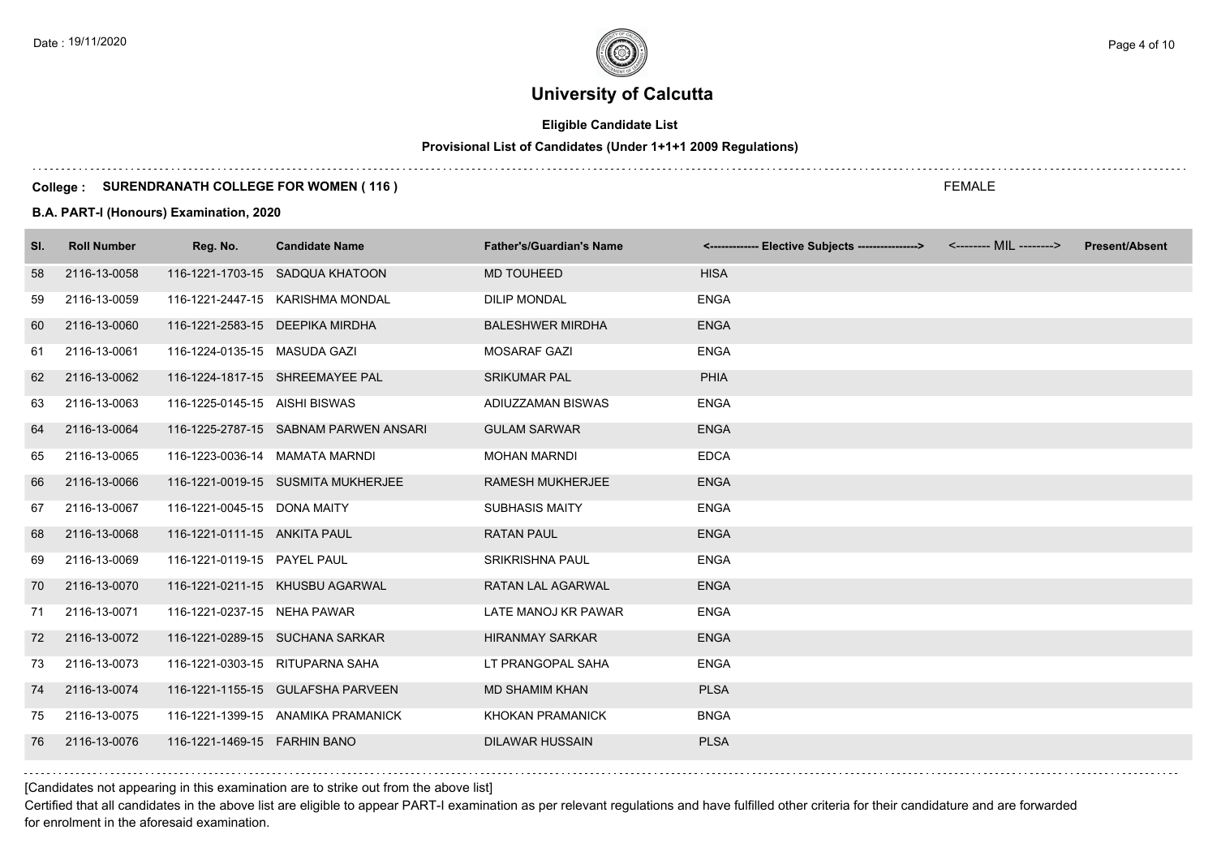## **Eligible Candidate List**

## **Provisional List of Candidates (Under 1+1+1 2009 Regulations)**

#### **College : SURENDRANATH COLLEGE FOR WOMEN ( 116 )**

#### **B.A. PART-I (Honours) Examination, 2020**

| SI. | <b>Roll Number</b> | Reg. No.                        | <b>Candidate Name</b>                 | <b>Father's/Guardian's Name</b> | <------------- Elective Subjects ---------------> <-------- MIL --------> | <b>Present/Absent</b> |
|-----|--------------------|---------------------------------|---------------------------------------|---------------------------------|---------------------------------------------------------------------------|-----------------------|
| 58  | 2116-13-0058       |                                 | 116-1221-1703-15 SADQUA KHATOON       | <b>MD TOUHEED</b>               | <b>HISA</b>                                                               |                       |
| 59  | 2116-13-0059       |                                 | 116-1221-2447-15 KARISHMA MONDAL      | <b>DILIP MONDAL</b>             | <b>ENGA</b>                                                               |                       |
| 60  | 2116-13-0060       | 116-1221-2583-15 DEEPIKA MIRDHA |                                       | <b>BALESHWER MIRDHA</b>         | <b>ENGA</b>                                                               |                       |
| 61  | 2116-13-0061       | 116-1224-0135-15 MASUDA GAZI    |                                       | <b>MOSARAF GAZI</b>             | <b>ENGA</b>                                                               |                       |
| 62  | 2116-13-0062       |                                 | 116-1224-1817-15 SHREEMAYEE PAL       | <b>SRIKUMAR PAL</b>             | <b>PHIA</b>                                                               |                       |
| 63  | 2116-13-0063       | 116-1225-0145-15 AISHI BISWAS   |                                       | ADIUZZAMAN BISWAS               | <b>ENGA</b>                                                               |                       |
| 64  | 2116-13-0064       |                                 | 116-1225-2787-15 SABNAM PARWEN ANSARI | <b>GULAM SARWAR</b>             | <b>ENGA</b>                                                               |                       |
| 65  | 2116-13-0065       | 116-1223-0036-14 MAMATA MARNDI  |                                       | <b>MOHAN MARNDI</b>             | <b>EDCA</b>                                                               |                       |
| 66  | 2116-13-0066       |                                 | 116-1221-0019-15 SUSMITA MUKHERJEE    | <b>RAMESH MUKHERJEE</b>         | <b>ENGA</b>                                                               |                       |
| 67  | 2116-13-0067       | 116-1221-0045-15 DONA MAITY     |                                       | <b>SUBHASIS MAITY</b>           | <b>ENGA</b>                                                               |                       |
| 68  | 2116-13-0068       | 116-1221-0111-15 ANKITA PAUL    |                                       | <b>RATAN PAUL</b>               | <b>ENGA</b>                                                               |                       |
| 69  | 2116-13-0069       | 116-1221-0119-15 PAYEL PAUL     |                                       | <b>SRIKRISHNA PAUL</b>          | <b>ENGA</b>                                                               |                       |
| 70  | 2116-13-0070       |                                 | 116-1221-0211-15 KHUSBU AGARWAL       | RATAN LAL AGARWAL               | <b>ENGA</b>                                                               |                       |
| 71  | 2116-13-0071       | 116-1221-0237-15 NEHA PAWAR     |                                       | LATE MANOJ KR PAWAR             | <b>ENGA</b>                                                               |                       |
| 72  | 2116-13-0072       |                                 | 116-1221-0289-15 SUCHANA SARKAR       | <b>HIRANMAY SARKAR</b>          | <b>ENGA</b>                                                               |                       |
| 73  | 2116-13-0073       |                                 | 116-1221-0303-15 RITUPARNA SAHA       | LT PRANGOPAL SAHA               | <b>ENGA</b>                                                               |                       |
| 74  | 2116-13-0074       |                                 | 116-1221-1155-15 GULAFSHA PARVEEN     | <b>MD SHAMIM KHAN</b>           | <b>PLSA</b>                                                               |                       |
| 75  | 2116-13-0075       |                                 | 116-1221-1399-15 ANAMIKA PRAMANICK    | <b>KHOKAN PRAMANICK</b>         | <b>BNGA</b>                                                               |                       |
| 76  | 2116-13-0076       | 116-1221-1469-15  FARHIN BANO   |                                       | <b>DILAWAR HUSSAIN</b>          | <b>PLSA</b>                                                               |                       |

[Candidates not appearing in this examination are to strike out from the above list]

Certified that all candidates in the above list are eligible to appear PART-I examination as per relevant regulations and have fulfilled other criteria for their candidature and are forwarded for enrolment in the aforesaid examination.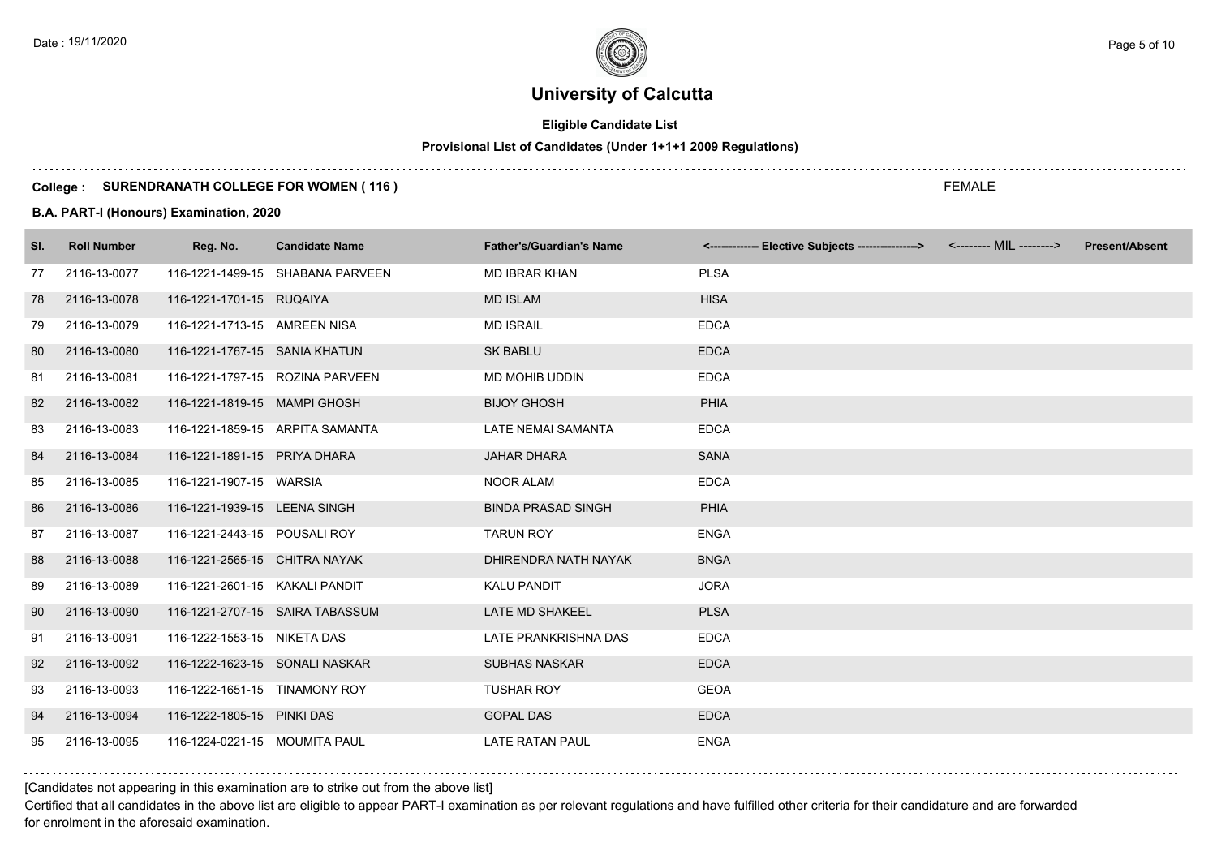## **Eligible Candidate List**

## **Provisional List of Candidates (Under 1+1+1 2009 Regulations)**

#### **College : SURENDRANATH COLLEGE FOR WOMEN ( 116 )**

#### **B.A. PART-I (Honours) Examination, 2020**

| SI. | <b>Roll Number</b> | Reg. No.                       | <b>Candidate Name</b>            | <b>Father's/Guardian's Name</b> | <------------- Elective Subjects ---------------> <-------- MIL --------> | <b>Present/Absent</b> |
|-----|--------------------|--------------------------------|----------------------------------|---------------------------------|---------------------------------------------------------------------------|-----------------------|
| 77  | 2116-13-0077       |                                | 116-1221-1499-15 SHABANA PARVEEN | <b>MD IBRAR KHAN</b>            | <b>PLSA</b>                                                               |                       |
| 78  | 2116-13-0078       | 116-1221-1701-15 RUQAIYA       |                                  | <b>MD ISLAM</b>                 | <b>HISA</b>                                                               |                       |
| 79  | 2116-13-0079       | 116-1221-1713-15 AMREEN NISA   |                                  | <b>MD ISRAIL</b>                | <b>EDCA</b>                                                               |                       |
| 80  | 2116-13-0080       | 116-1221-1767-15 SANIA KHATUN  |                                  | <b>SK BABLU</b>                 | <b>EDCA</b>                                                               |                       |
| 81  | 2116-13-0081       |                                | 116-1221-1797-15 ROZINA PARVEEN  | MD MOHIB UDDIN                  | <b>EDCA</b>                                                               |                       |
| 82  | 2116-13-0082       | 116-1221-1819-15 MAMPI GHOSH   |                                  | <b>BIJOY GHOSH</b>              | <b>PHIA</b>                                                               |                       |
| 83  | 2116-13-0083       |                                | 116-1221-1859-15 ARPITA SAMANTA  | <b>LATE NEMAI SAMANTA</b>       | <b>EDCA</b>                                                               |                       |
| 84  | 2116-13-0084       | 116-1221-1891-15 PRIYA DHARA   |                                  | <b>JAHAR DHARA</b>              | <b>SANA</b>                                                               |                       |
| 85  | 2116-13-0085       | 116-1221-1907-15 WARSIA        |                                  | <b>NOOR ALAM</b>                | <b>EDCA</b>                                                               |                       |
| 86  | 2116-13-0086       | 116-1221-1939-15 LEENA SINGH   |                                  | <b>BINDA PRASAD SINGH</b>       | <b>PHIA</b>                                                               |                       |
| 87  | 2116-13-0087       | 116-1221-2443-15 POUSALI ROY   |                                  | <b>TARUN ROY</b>                | <b>ENGA</b>                                                               |                       |
| 88  | 2116-13-0088       | 116-1221-2565-15 CHITRA NAYAK  |                                  | DHIRENDRA NATH NAYAK            | <b>BNGA</b>                                                               |                       |
| 89  | 2116-13-0089       | 116-1221-2601-15 KAKALI PANDIT |                                  | <b>KALU PANDIT</b>              | <b>JORA</b>                                                               |                       |
| 90  | 2116-13-0090       |                                | 116-1221-2707-15 SAIRA TABASSUM  | LATE MD SHAKEEL                 | <b>PLSA</b>                                                               |                       |
| 91  | 2116-13-0091       | 116-1222-1553-15 NIKETA DAS    |                                  | LATE PRANKRISHNA DAS            | <b>EDCA</b>                                                               |                       |
| 92  | 2116-13-0092       | 116-1222-1623-15 SONALI NASKAR |                                  | <b>SUBHAS NASKAR</b>            | <b>EDCA</b>                                                               |                       |
| 93  | 2116-13-0093       | 116-1222-1651-15 TINAMONY ROY  |                                  | <b>TUSHAR ROY</b>               | <b>GEOA</b>                                                               |                       |
| 94  | 2116-13-0094       | 116-1222-1805-15 PINKI DAS     |                                  | <b>GOPAL DAS</b>                | <b>EDCA</b>                                                               |                       |
| 95  | 2116-13-0095       | 116-1224-0221-15 MOUMITA PAUL  |                                  | <b>LATE RATAN PAUL</b>          | <b>ENGA</b>                                                               |                       |

[Candidates not appearing in this examination are to strike out from the above list]

Certified that all candidates in the above list are eligible to appear PART-I examination as per relevant regulations and have fulfilled other criteria for their candidature and are forwarded for enrolment in the aforesaid examination.

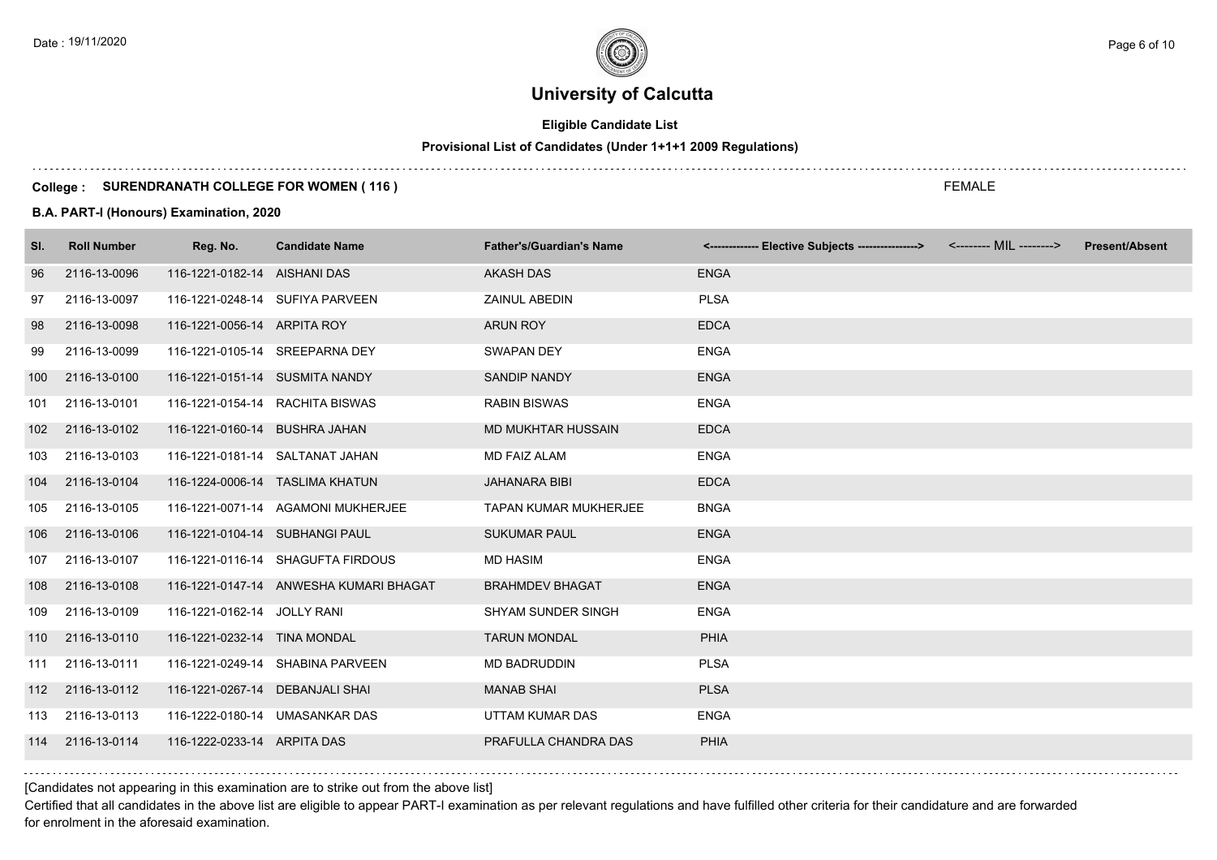## **Eligible Candidate List**

## **Provisional List of Candidates (Under 1+1+1 2009 Regulations)**

#### **College : SURENDRANATH COLLEGE FOR WOMEN ( 116 )**

#### **B.A. PART-I (Honours) Examination, 2020**

| SI. | <b>Roll Number</b> | Reg. No.                        | <b>Candidate Name</b>                  | <b>Father's/Guardian's Name</b> | <------------- Elective Subjects ---------------> <-------- MIL --------> | <b>Present/Absent</b> |
|-----|--------------------|---------------------------------|----------------------------------------|---------------------------------|---------------------------------------------------------------------------|-----------------------|
| 96  | 2116-13-0096       | 116-1221-0182-14 AISHANI DAS    |                                        | <b>AKASH DAS</b>                | <b>ENGA</b>                                                               |                       |
| 97  | 2116-13-0097       |                                 | 116-1221-0248-14 SUFIYA PARVEEN        | ZAINUL ABEDIN                   | <b>PLSA</b>                                                               |                       |
| 98  | 2116-13-0098       | 116-1221-0056-14 ARPITA ROY     |                                        | <b>ARUN ROY</b>                 | <b>EDCA</b>                                                               |                       |
| 99  | 2116-13-0099       | 116-1221-0105-14 SREEPARNA DEY  |                                        | SWAPAN DEY                      | <b>ENGA</b>                                                               |                       |
| 100 | 2116-13-0100       | 116-1221-0151-14 SUSMITA NANDY  |                                        | <b>SANDIP NANDY</b>             | <b>ENGA</b>                                                               |                       |
| 101 | 2116-13-0101       |                                 | 116-1221-0154-14 RACHITA BISWAS        | <b>RABIN BISWAS</b>             | <b>ENGA</b>                                                               |                       |
| 102 | 2116-13-0102       | 116-1221-0160-14 BUSHRA JAHAN   |                                        | <b>MD MUKHTAR HUSSAIN</b>       | <b>EDCA</b>                                                               |                       |
| 103 | 2116-13-0103       |                                 | 116-1221-0181-14 SALTANAT JAHAN        | <b>MD FAIZ ALAM</b>             | <b>ENGA</b>                                                               |                       |
| 104 | 2116-13-0104       |                                 | 116-1224-0006-14 TASLIMA KHATUN        | <b>JAHANARA BIBI</b>            | <b>EDCA</b>                                                               |                       |
| 105 | 2116-13-0105       |                                 | 116-1221-0071-14 AGAMONI MUKHERJEE     | <b>TAPAN KUMAR MUKHERJEE</b>    | <b>BNGA</b>                                                               |                       |
| 106 | 2116-13-0106       | 116-1221-0104-14 SUBHANGI PAUL  |                                        | <b>SUKUMAR PAUL</b>             | <b>ENGA</b>                                                               |                       |
| 107 | 2116-13-0107       |                                 | 116-1221-0116-14 SHAGUFTA FIRDOUS      | <b>MD HASIM</b>                 | <b>ENGA</b>                                                               |                       |
| 108 | 2116-13-0108       |                                 | 116-1221-0147-14 ANWESHA KUMARI BHAGAT | <b>BRAHMDEV BHAGAT</b>          | <b>ENGA</b>                                                               |                       |
| 109 | 2116-13-0109       | 116-1221-0162-14 JOLLY RANI     |                                        | SHYAM SUNDER SINGH              | <b>ENGA</b>                                                               |                       |
| 110 | 2116-13-0110       | 116-1221-0232-14 TINA MONDAL    |                                        | <b>TARUN MONDAL</b>             | <b>PHIA</b>                                                               |                       |
| 111 | 2116-13-0111       |                                 | 116-1221-0249-14 SHABINA PARVEEN       | <b>MD BADRUDDIN</b>             | <b>PLSA</b>                                                               |                       |
| 112 | 2116-13-0112       | 116-1221-0267-14 DEBANJALI SHAI |                                        | <b>MANAB SHAI</b>               | <b>PLSA</b>                                                               |                       |
| 113 | 2116-13-0113       |                                 | 116-1222-0180-14 UMASANKAR DAS         | UTTAM KUMAR DAS                 | <b>ENGA</b>                                                               |                       |
| 114 | 2116-13-0114       | 116-1222-0233-14 ARPITA DAS     |                                        | PRAFULLA CHANDRA DAS            | <b>PHIA</b>                                                               |                       |

[Candidates not appearing in this examination are to strike out from the above list]

Certified that all candidates in the above list are eligible to appear PART-I examination as per relevant regulations and have fulfilled other criteria for their candidature and are forwarded for enrolment in the aforesaid examination.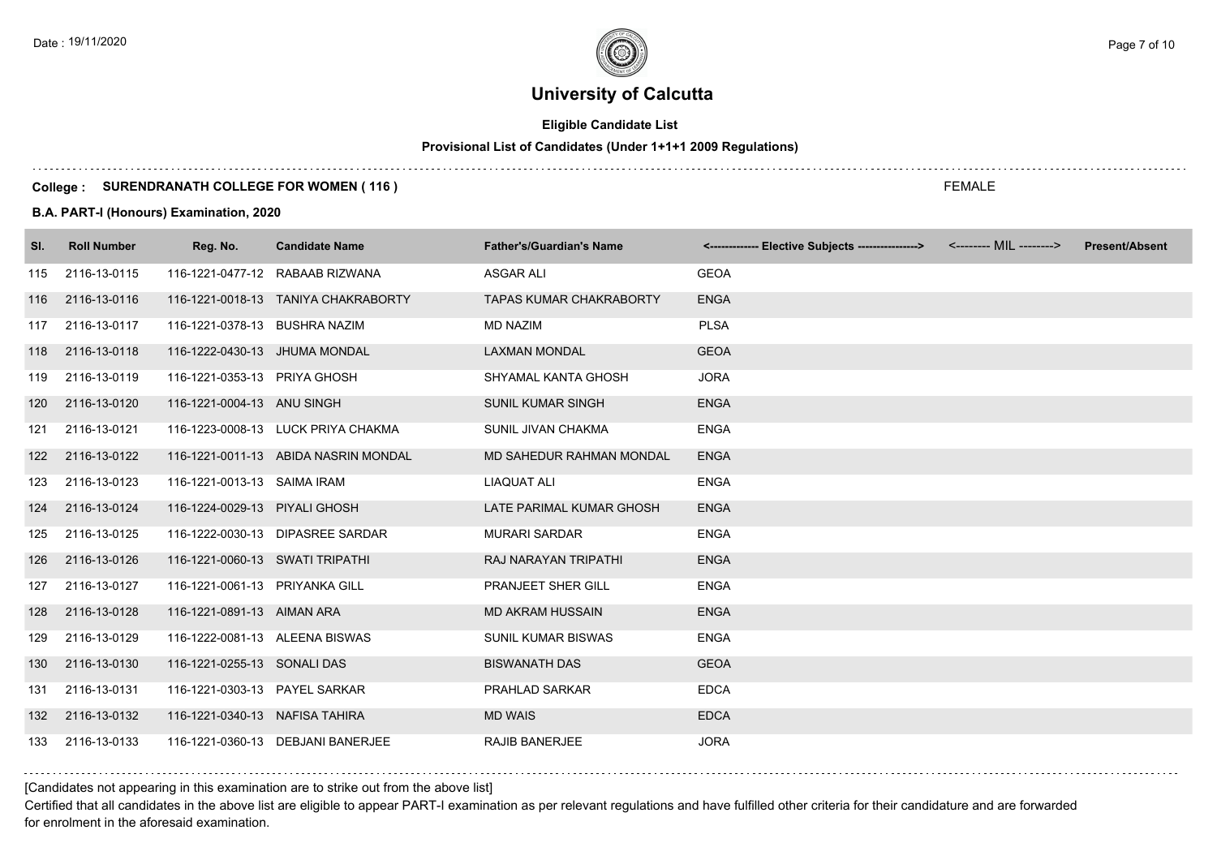## **Eligible Candidate List**

## **Provisional List of Candidates (Under 1+1+1 2009 Regulations)**

#### **College : SURENDRANATH COLLEGE FOR WOMEN ( 116 )**

#### **B.A. PART-I (Honours) Examination, 2020**

| SI. | <b>Roll Number</b> | Reg. No.                        | <b>Candidate Name</b>                | <b>Father's/Guardian's Name</b> | <-------------- Elective Subjects ----------------> | <-------- MIL --------> | <b>Present/Absent</b> |
|-----|--------------------|---------------------------------|--------------------------------------|---------------------------------|-----------------------------------------------------|-------------------------|-----------------------|
| 115 | 2116-13-0115       |                                 | 116-1221-0477-12 RABAAB RIZWANA      | <b>ASGAR ALI</b>                | <b>GEOA</b>                                         |                         |                       |
| 116 | 2116-13-0116       |                                 | 116-1221-0018-13 TANIYA CHAKRABORTY  | <b>TAPAS KUMAR CHAKRABORTY</b>  | <b>ENGA</b>                                         |                         |                       |
| 117 | 2116-13-0117       | 116-1221-0378-13 BUSHRA NAZIM   |                                      | <b>MD NAZIM</b>                 | <b>PLSA</b>                                         |                         |                       |
| 118 | 2116-13-0118       | 116-1222-0430-13 JHUMA MONDAL   |                                      | <b>LAXMAN MONDAL</b>            | <b>GEOA</b>                                         |                         |                       |
| 119 | 2116-13-0119       | 116-1221-0353-13 PRIYA GHOSH    |                                      | SHYAMAL KANTA GHOSH             | <b>JORA</b>                                         |                         |                       |
| 120 | 2116-13-0120       | 116-1221-0004-13 ANU SINGH      |                                      | <b>SUNIL KUMAR SINGH</b>        | <b>ENGA</b>                                         |                         |                       |
| 121 | 2116-13-0121       |                                 | 116-1223-0008-13 LUCK PRIYA CHAKMA   | SUNIL JIVAN CHAKMA              | <b>ENGA</b>                                         |                         |                       |
| 122 | 2116-13-0122       |                                 | 116-1221-0011-13 ABIDA NASRIN MONDAL | <b>MD SAHEDUR RAHMAN MONDAL</b> | <b>ENGA</b>                                         |                         |                       |
| 123 | 2116-13-0123       | 116-1221-0013-13 SAIMA IRAM     |                                      | LIAQUAT ALI                     | <b>ENGA</b>                                         |                         |                       |
| 124 | 2116-13-0124       | 116-1224-0029-13 PIYALI GHOSH   |                                      | LATE PARIMAL KUMAR GHOSH        | <b>ENGA</b>                                         |                         |                       |
| 125 | 2116-13-0125       |                                 | 116-1222-0030-13 DIPASREE SARDAR     | <b>MURARI SARDAR</b>            | <b>ENGA</b>                                         |                         |                       |
| 126 | 2116-13-0126       | 116-1221-0060-13 SWATI TRIPATHI |                                      | RAJ NARAYAN TRIPATHI            | <b>ENGA</b>                                         |                         |                       |
| 127 | 2116-13-0127       | 116-1221-0061-13 PRIYANKA GILL  |                                      | PRANJEET SHER GILL              | <b>ENGA</b>                                         |                         |                       |
| 128 | 2116-13-0128       | 116-1221-0891-13 AIMAN ARA      |                                      | <b>MD AKRAM HUSSAIN</b>         | <b>ENGA</b>                                         |                         |                       |
| 129 | 2116-13-0129       | 116-1222-0081-13 ALEENA BISWAS  |                                      | <b>SUNIL KUMAR BISWAS</b>       | <b>ENGA</b>                                         |                         |                       |
| 130 | 2116-13-0130       | 116-1221-0255-13 SONALI DAS     |                                      | <b>BISWANATH DAS</b>            | <b>GEOA</b>                                         |                         |                       |
| 131 | 2116-13-0131       | 116-1221-0303-13 PAYEL SARKAR   |                                      | PRAHLAD SARKAR                  | <b>EDCA</b>                                         |                         |                       |
| 132 | 2116-13-0132       | 116-1221-0340-13 NAFISA TAHIRA  |                                      | <b>MD WAIS</b>                  | <b>EDCA</b>                                         |                         |                       |
| 133 | 2116-13-0133       |                                 | 116-1221-0360-13 DEBJANI BANERJEE    | <b>RAJIB BANERJEE</b>           | <b>JORA</b>                                         |                         |                       |

[Candidates not appearing in this examination are to strike out from the above list]

Certified that all candidates in the above list are eligible to appear PART-I examination as per relevant regulations and have fulfilled other criteria for their candidature and are forwarded for enrolment in the aforesaid examination.

FEMALE

Date : 19/11/2020  $\rho_{\texttt{age 7 of 10}}$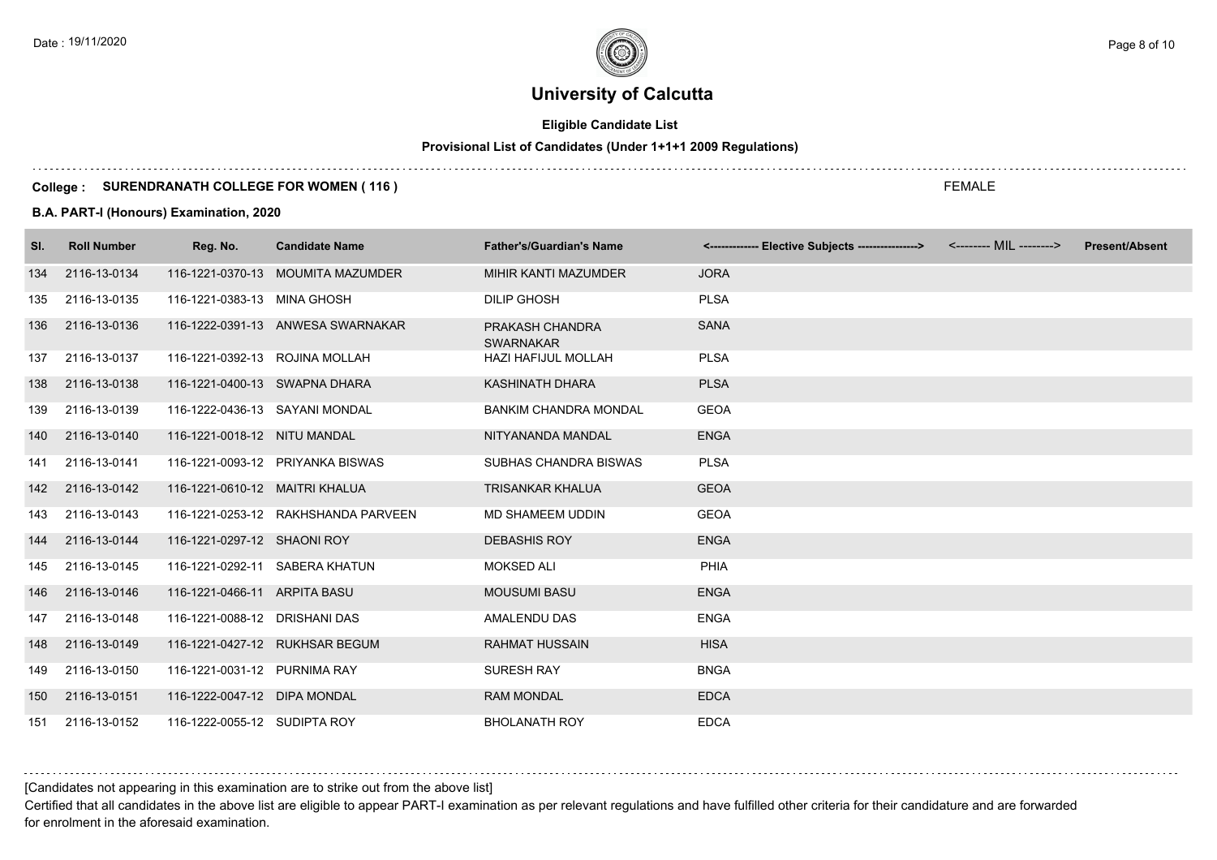## **Eligible Candidate List**

## **Provisional List of Candidates (Under 1+1+1 2009 Regulations)**

#### **College : SURENDRANATH COLLEGE FOR WOMEN ( 116 )**

#### **B.A. PART-I (Honours) Examination, 2020**

| SI. | <b>Roll Number</b> | Reg. No.                       | <b>Candidate Name</b>               | <b>Father's/Guardian's Name</b>     | <-------------- Elective Subjects ---------------> | <-------- MIL --------> | <b>Present/Absent</b> |
|-----|--------------------|--------------------------------|-------------------------------------|-------------------------------------|----------------------------------------------------|-------------------------|-----------------------|
| 134 | 2116-13-0134       |                                | 116-1221-0370-13 MOUMITA MAZUMDER   | MIHIR KANTI MAZUMDER                | <b>JORA</b>                                        |                         |                       |
| 135 | 2116-13-0135       | 116-1221-0383-13 MINA GHOSH    |                                     | <b>DILIP GHOSH</b>                  | <b>PLSA</b>                                        |                         |                       |
| 136 | 2116-13-0136       |                                | 116-1222-0391-13 ANWESA SWARNAKAR   | PRAKASH CHANDRA<br><b>SWARNAKAR</b> | <b>SANA</b>                                        |                         |                       |
| 137 | 2116-13-0137       | 116-1221-0392-13 ROJINA MOLLAH |                                     | <b>HAZI HAFIJUL MOLLAH</b>          | <b>PLSA</b>                                        |                         |                       |
| 138 | 2116-13-0138       | 116-1221-0400-13 SWAPNA DHARA  |                                     | KASHINATH DHARA                     | <b>PLSA</b>                                        |                         |                       |
| 139 | 2116-13-0139       | 116-1222-0436-13 SAYANI MONDAL |                                     | <b>BANKIM CHANDRA MONDAL</b>        | <b>GEOA</b>                                        |                         |                       |
| 140 | 2116-13-0140       | 116-1221-0018-12 NITU MANDAL   |                                     | NITYANANDA MANDAL                   | <b>ENGA</b>                                        |                         |                       |
| 141 | 2116-13-0141       |                                | 116-1221-0093-12 PRIYANKA BISWAS    | SUBHAS CHANDRA BISWAS               | <b>PLSA</b>                                        |                         |                       |
|     | 142 2116-13-0142   | 116-1221-0610-12 MAITRI KHALUA |                                     | <b>TRISANKAR KHALUA</b>             | <b>GEOA</b>                                        |                         |                       |
| 143 | 2116-13-0143       |                                | 116-1221-0253-12 RAKHSHANDA PARVEEN | <b>MD SHAMEEM UDDIN</b>             | <b>GEOA</b>                                        |                         |                       |
| 144 | 2116-13-0144       | 116-1221-0297-12 SHAONI ROY    |                                     | <b>DEBASHIS ROY</b>                 | <b>ENGA</b>                                        |                         |                       |
| 145 | 2116-13-0145       | 116-1221-0292-11 SABERA KHATUN |                                     | <b>MOKSED ALI</b>                   | PHIA                                               |                         |                       |
| 146 | 2116-13-0146       | 116-1221-0466-11 ARPITA BASU   |                                     | <b>MOUSUMI BASU</b>                 | <b>ENGA</b>                                        |                         |                       |
| 147 | 2116-13-0148       | 116-1221-0088-12 DRISHANI DAS  |                                     | AMALENDU DAS                        | <b>ENGA</b>                                        |                         |                       |
| 148 | 2116-13-0149       |                                | 116-1221-0427-12 RUKHSAR BEGUM      | <b>RAHMAT HUSSAIN</b>               | <b>HISA</b>                                        |                         |                       |
| 149 | 2116-13-0150       | 116-1221-0031-12 PURNIMA RAY   |                                     | <b>SURESH RAY</b>                   | <b>BNGA</b>                                        |                         |                       |
| 150 | 2116-13-0151       | 116-1222-0047-12 DIPA MONDAL   |                                     | <b>RAM MONDAL</b>                   | <b>EDCA</b>                                        |                         |                       |
|     | 151 2116-13-0152   | 116-1222-0055-12 SUDIPTA ROY   |                                     | <b>BHOLANATH ROY</b>                | <b>EDCA</b>                                        |                         |                       |

[Candidates not appearing in this examination are to strike out from the above list]

Certified that all candidates in the above list are eligible to appear PART-I examination as per relevant regulations and have fulfilled other criteria for their candidature and are forwarded for enrolment in the aforesaid examination.

FEMALE

Date : 19/11/2020  $\rho_{\texttt{age 8 of 10}}$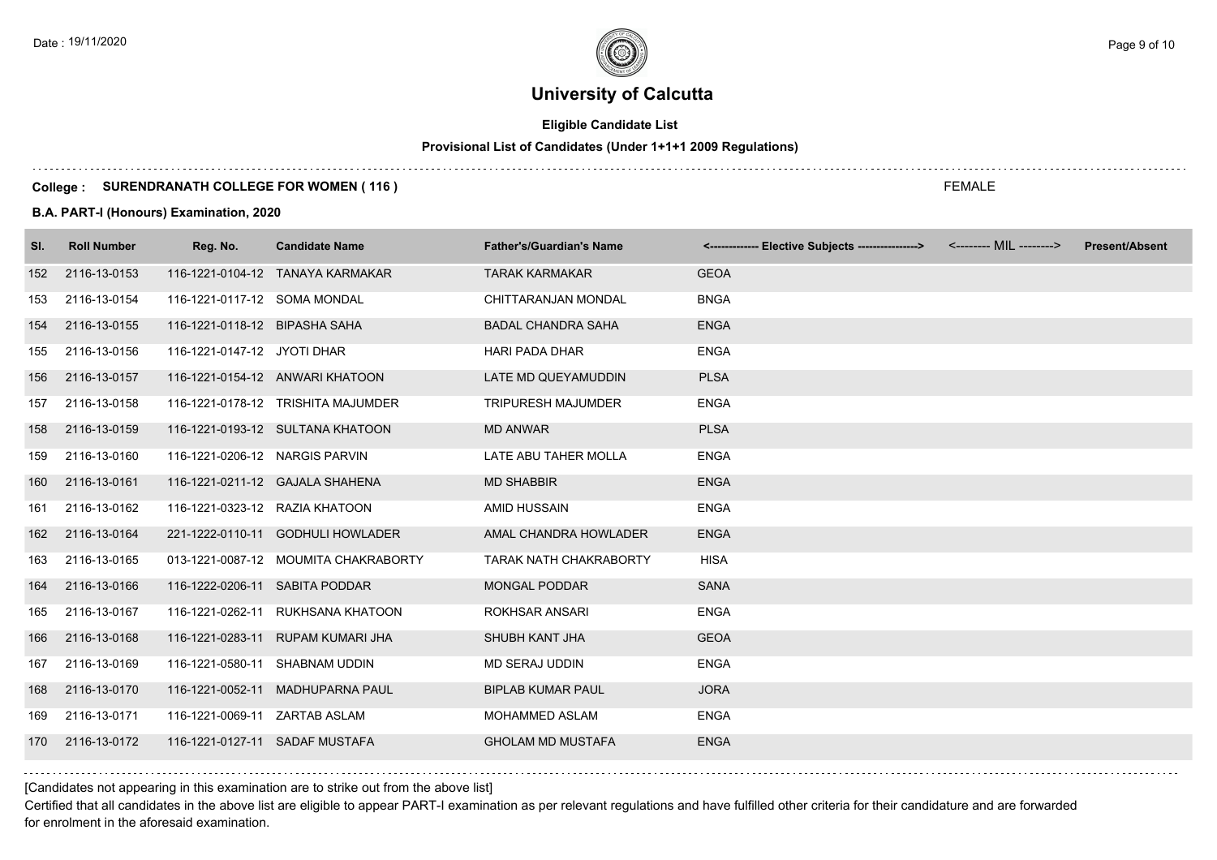## **Eligible Candidate List**

## **Provisional List of Candidates (Under 1+1+1 2009 Regulations)**

#### **College : SURENDRANATH COLLEGE FOR WOMEN ( 116 )**

#### **B.A. PART-I (Honours) Examination, 2020**

| SI. | <b>Roll Number</b> | Reg. No.                       | <b>Candidate Name</b>                | <b>Father's/Guardian's Name</b> | <------------- Elective Subjects ----------------> | <-------- MIL --------> | <b>Present/Absent</b> |
|-----|--------------------|--------------------------------|--------------------------------------|---------------------------------|----------------------------------------------------|-------------------------|-----------------------|
| 152 | 2116-13-0153       |                                | 116-1221-0104-12 TANAYA KARMAKAR     | <b>TARAK KARMAKAR</b>           | <b>GEOA</b>                                        |                         |                       |
| 153 | 2116-13-0154       | 116-1221-0117-12 SOMA MONDAL   |                                      | CHITTARANJAN MONDAL             | <b>BNGA</b>                                        |                         |                       |
| 154 | 2116-13-0155       | 116-1221-0118-12 BIPASHA SAHA  |                                      | <b>BADAL CHANDRA SAHA</b>       | <b>ENGA</b>                                        |                         |                       |
| 155 | 2116-13-0156       | 116-1221-0147-12 JYOTI DHAR    |                                      | <b>HARI PADA DHAR</b>           | <b>ENGA</b>                                        |                         |                       |
| 156 | 2116-13-0157       |                                | 116-1221-0154-12 ANWARI KHATOON      | LATE MD QUEYAMUDDIN             | <b>PLSA</b>                                        |                         |                       |
| 157 | 2116-13-0158       |                                | 116-1221-0178-12 TRISHITA MAJUMDER   | <b>TRIPURESH MAJUMDER</b>       | <b>ENGA</b>                                        |                         |                       |
| 158 | 2116-13-0159       |                                | 116-1221-0193-12 SULTANA KHATOON     | <b>MD ANWAR</b>                 | <b>PLSA</b>                                        |                         |                       |
| 159 | 2116-13-0160       | 116-1221-0206-12 NARGIS PARVIN |                                      | LATE ABU TAHER MOLLA            | <b>ENGA</b>                                        |                         |                       |
| 160 | 2116-13-0161       |                                | 116-1221-0211-12 GAJALA SHAHENA      | <b>MD SHABBIR</b>               | <b>ENGA</b>                                        |                         |                       |
| 161 | 2116-13-0162       | 116-1221-0323-12 RAZIA KHATOON |                                      | AMID HUSSAIN                    | <b>ENGA</b>                                        |                         |                       |
| 162 | 2116-13-0164       |                                | 221-1222-0110-11 GODHULI HOWLADER    | AMAL CHANDRA HOWLADER           | <b>ENGA</b>                                        |                         |                       |
| 163 | 2116-13-0165       |                                | 013-1221-0087-12 MOUMITA CHAKRABORTY | <b>TARAK NATH CHAKRABORTY</b>   | <b>HISA</b>                                        |                         |                       |
| 164 | 2116-13-0166       | 116-1222-0206-11 SABITA PODDAR |                                      | <b>MONGAL PODDAR</b>            | <b>SANA</b>                                        |                         |                       |
| 165 | 2116-13-0167       |                                | 116-1221-0262-11 RUKHSANA KHATOON    | <b>ROKHSAR ANSARI</b>           | <b>ENGA</b>                                        |                         |                       |
| 166 | 2116-13-0168       |                                | 116-1221-0283-11 RUPAM KUMARI JHA    | SHUBH KANT JHA                  | <b>GEOA</b>                                        |                         |                       |
| 167 | 2116-13-0169       | 116-1221-0580-11 SHABNAM UDDIN |                                      | MD SERAJ UDDIN                  | <b>ENGA</b>                                        |                         |                       |
| 168 | 2116-13-0170       |                                | 116-1221-0052-11 MADHUPARNA PAUL     | <b>BIPLAB KUMAR PAUL</b>        | <b>JORA</b>                                        |                         |                       |
| 169 | 2116-13-0171       | 116-1221-0069-11 ZARTAB ASLAM  |                                      | <b>MOHAMMED ASLAM</b>           | <b>ENGA</b>                                        |                         |                       |
| 170 | 2116-13-0172       | 116-1221-0127-11 SADAF MUSTAFA |                                      | <b>GHOLAM MD MUSTAFA</b>        | <b>ENGA</b>                                        |                         |                       |

[Candidates not appearing in this examination are to strike out from the above list]

Certified that all candidates in the above list are eligible to appear PART-I examination as per relevant regulations and have fulfilled other criteria for their candidature and are forwarded for enrolment in the aforesaid examination.